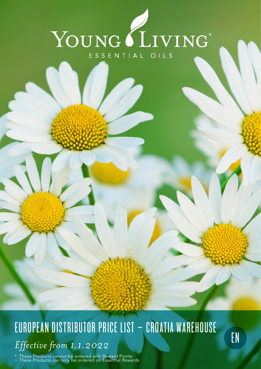

## EUROPEAN DISTRIBUTOR PRICE LIST - CROATIA WAREHOUSE *Effective from 1.1.2022*

\* These Products cannot be ordered with Reward Points ~ These Products can only be ordered on Essential Rewards EN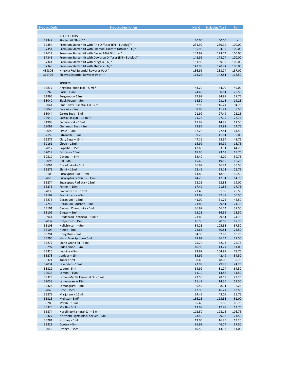| <b>Product Code</b> | <b>Product description</b>                                | Net $\epsilon$ | Including Tax $\epsilon$ | <b>PV</b>                   |
|---------------------|-----------------------------------------------------------|----------------|--------------------------|-----------------------------|
|                     |                                                           |                |                          |                             |
|                     | <b>STARTER KITS</b>                                       |                |                          |                             |
| 37349               | Starter Kit "Basic"*                                      | 40.00          | 50.00                    | $\mathcal{L}_{\mathcal{A}}$ |
| 37354               | Premium Starter Kit with Aria Diffuser (EN - EU plug)*    | 231.99         | 289.99                   | 100.00                      |
|                     |                                                           |                |                          |                             |
| 37351               | Premium Starter Kit with Charcoal Lantern Diffuser (EU)*  | 155.99         | 194.99                   | 100.00                      |
| 37617               | Premium Starter Kit with Desert Mist Diffuser*            | 142.99         | 178.74                   | 100.00                      |
| 37345               | Premium Starter Kit with Dewdrop Diffuser (EN - EU plug)* | 142.99         | 178.74                   | 100.00                      |
| 37344               | Premium Starter Kit with NingXia (EN)*                    | 151.99         | 189.99                   | 100.00                      |
| 37346               | Premium Starter Kit with Thieves (EN)*                    | 142.99         | 178.74                   | 100.00                      |
| 489308              | NingXia Red Essential Rewards Pack* ~                     | 186.99         | 233.74                   | 187.00                      |
| 369708              | Thieves Essential Rewards Pack* ~                         | 114.25         | 142.81                   | 118.50                      |
|                     |                                                           |                |                          |                             |
|                     | <b>SINGLES</b>                                            |                |                          |                             |
|                     |                                                           |                |                          |                             |
| 36877               | Angelica (anđelika) - 5 ml *                              | 43.20          | 54.00                    | 45.00                       |
| 33266               | Basil - 15ml                                              | 24.65          | 30.81                    | 25.50                       |
| 31995               | Bergamot-15ml                                             | 27.99          | 34.99                    | 27.75                       |
| 33040               | <b>Black Pepper - 5ml</b>                                 | 18.50          | 23.13                    | 19.25                       |
| 33041               | Blue Tansy Essential Oil - 5 ml                           | 92.99          | 116.24                   | 94.75                       |
| 33043               | Caraway - 5ml                                             | 8.99           | 11.24                    | 8.50                        |
| 33044               | Carrot Seed - 5ml                                         | 21.99          | 27.49                    | 22.25                       |
| 36940               | Cassia (kasija) - 15 ml *                                 | 21.75          | 27.19                    | 22.75                       |
| 31998               | Cedarwood - 15ml                                          | 11.99          | 14.99                    | 11.50                       |
|                     |                                                           |                |                          |                             |
| 33091               | Cinnamon Bark - 5ml                                       | 23.85          | 29.81                    | 24.75                       |
| 33092               | Cistus - 5ml                                              | 62.25          | 77.81                    | 64.50                       |
| 32159               | Citronella - 5ml                                          | 9.29           | 11.61                    | 9.00                        |
| 33272               | Clary Sage - 15ml                                         | 47.15          | 58.94                    | 48.75                       |
| 32161               | Clove - 15ml                                              | 15.99          | 19.99                    | 15.75                       |
| 32017               | Copaiba - 15ml                                            | 42.65          | 53.31                    | 44.25                       |
| 32019               | Cypress - 15ml                                            | 18.90          | 23.63                    | 19.75                       |
| 30510               | Davana - 5ml                                              | 38.40          | 48.00                    | 39.75                       |
| 33093               | Dill - 5ml                                                | 15.60          | 19.50                    | 16.25                       |
|                     |                                                           |                |                          |                             |
| 33094               | Dorado Azul - 5ml                                         | 36.99          | 46.24                    | 35.50                       |
| 33273               | Elemi - 15ml                                              | 22.49          | 28.11                    | 21.75                       |
| 33100               | Eucalyptus Blue - 5ml                                     | 14.80          | 18.50                    | 15.50                       |
| 32028               | Eucalyptus Globulus - 15ml                                | 14.25          | 17.81                    | 14.75                       |
| 33274               | Eucalyptus Radiata - 15ml                                 | 18.25          | 22.81                    | 19.00                       |
| 33275               | Fennel - 15ml                                             | 17.49          | 21.86                    | 17.75                       |
| 32030               | Frankincense - 15ml                                       | 73.49          | 91.86                    | 75.50                       |
| 32167               | Frankincense - 5ml                                        | 29.99          | 37.49                    | 30.50                       |
| 33276               | Geranium - 15ml                                           | 41.00          | 51.25                    | 42.50                       |
|                     |                                                           |                |                          |                             |
| 37742               | Geranium Bourbon - 5ml                                    | 23.85          | 29.81                    | 24.75                       |
| 33101               | German Chamomile - 5ml                                    | 36.99          | 46.24                    | 37.50                       |
| 33102               | Ginger-5ml                                                | 13.25          | 16.56                    | 13.50                       |
| 36944               | Goldenrod (zlatnica) - 5 ml *                             | 23.85          | 29.81                    | 24.75                       |
| 32032               | Grapefruit - 15ml                                         | 16.50          | 20.63                    | 17.25                       |
| 33103               | Helichrysum - 5ml                                         | 84.25          | 105.31                   | 87.50                       |
| 33104               | Hinoki - 5ml                                              | 24.65          | 30.81                    | 25.50                       |
| 33294               | Hong Kuai - 5ml                                           | 54.30          | 67.88                    | 56.25                       |
| 33296               | Idaho Blue Spruce - 5ml                                   | 28.99          | 36.24                    | 29.50                       |
|                     |                                                           |                |                          |                             |
| 33277               | Idaho Grand Fir - 5 ml                                    | 25.70          | 32.13                    | 26.75                       |
| 33297               | Jade Lemon - 5ml                                          | 10.99          | 13.74                    | 11.00                       |
| 33320               | Jasmine - 5ml                                             | 83.99          | 104.99                   | 78.75                       |
| 33278               | Juniper-15ml                                              | 33.99          | 42.49                    | 34.50                       |
| 33321               | Kunzea 5ml                                                | 38.40          | 48.00                    | 39.75                       |
| 32034               | Lavender - 15ml                                           | 23.99          | 29.99                    | 24.25                       |
| 33322               | Ledum - 5ml                                               | 64.99          | 81.24                    | 64.50                       |
| 32036               | Lemon-15ml                                                | 11.10          | 13.88                    | 11.50                       |
| 33323               | Lemon Myrtle Essential Oil - 5 ml                         | 22.50          | 28.13                    | 23.25                       |
|                     |                                                           |                |                          |                             |
| 32038               | Lemongrass-15ml                                           | 11.49          | 14.36                    | 11.50                       |
| 33324               | Lemongrass-5ml                                            | 6.49           | 8.11                     | 6.25                        |
| 32040               | Lime - 15ml                                               | 12.99          | 16.24                    | 12.50                       |
| 33279               | Marjoram - 15ml                                           | 34.45          | 43.06                    | 35.75                       |
| 33325               | Melissa - 5ml*                                            | 156.25         | 195.31                   | 81.00                       |
| 33280               | $Myrrh - 15ml$                                            | 65.49          | 81.86                    | 66.75                       |
| 33326               | Myrtle - 5ml                                              | 13.99          | 17.49                    | 12.75                       |
| 36874               | Neroli (gorka naranča) – 5 ml*                            | 102.50         | 128.13                   | 106.75                      |
| 33327               | Northern Lights Black Spruce - 5ml                        | 23.50          | 29.38                    | 24.50                       |
|                     |                                                           |                |                          |                             |
| 33281               | Nutmeg - 5ml                                              | 13.00          | 16.25                    | 13.25                       |
| 33328               | Ocotea - 5ml                                              | 36.99          | 46.24                    | 37.50                       |
| 32042               | Orange - 15ml                                             | 10.50          | 13.13                    | 11.00                       |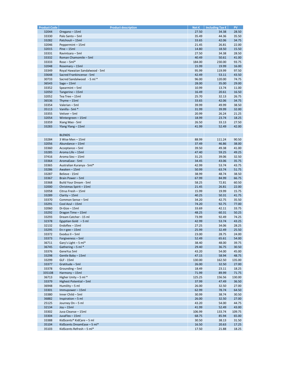| <b>Product Code</b> | <b>Product description</b>      | Net $\varepsilon$ | Including Tax $\epsilon$ | PV.    |
|---------------------|---------------------------------|-------------------|--------------------------|--------|
| 32044               | Oregano - 15ml                  | 27.50             | 34.38                    | 28.50  |
|                     |                                 |                   |                          |        |
| 33330               | Palo Santo - 5ml                | 35.49             | 44.36                    | 35.50  |
| 33282               | Patchouli - 15ml                | 33.65             | 42.06                    | 34.75  |
| 32046               | Peppermint - 15ml               | 21.45             | 26.81                    | 22.00  |
| 32015               | $Pine - 15ml$                   | 14.80             | 18.50                    | 15.50  |
| 33331               | Ravintsara - 5ml                | 27.50             | 34.38                    | 28.50  |
| 33332               | Roman Chamomile - 5ml           | 40.49             | 50.61                    | 41.00  |
|                     | $Rose-5ml*$                     |                   |                          |        |
| 33333               |                                 | 184.00            | 230.00                   | 93.75  |
| 32048               | Rosemary - 15ml                 | 15.99             | 19.99                    | 16.00  |
| 33349               | Royal Hawaiian Sandalwood - 5ml | 95.99             | 119.99                   | 97.50  |
| 33648               | Sacred Frankincense - 5ml       | 42.49             | 53.11                    | 43.50  |
| 30733               | Sacred Sandalwood - 5 ml *      | 96.00             | 120.00                   | 74.75  |
| 36543               | $Sage - 15ml$                   | 28.00             | 35.00                    | 29.00  |
| 33352               | Spearmint-5ml                   | 10.99             | 13.74                    | 11.00  |
|                     |                                 |                   |                          |        |
| 32050               | Tangerine - 15ml                | 16.49             | 20.61                    | 16.50  |
| 32052               | Tea Tree - 15ml                 | 25.70             | 32.13                    | 26.75  |
| 36536               | Thyme $-15ml$                   | 33.65             | 42.06                    | 34.75  |
| 33354               | Valerian - 5ml                  | 39.99             | 49.99                    | 38.50  |
| 35113               | Vanilla - 5ml *                 | 31.99             | 39.99                    | 32.00  |
| 33355               | Vetiver - 5ml                   | 20.99             | 26.24                    | 21.25  |
| 32054               |                                 |                   | 23.74                    |        |
|                     | Wintergreen - 15ml              | 18.99             |                          | 18.25  |
| 33359               | Xiang Mao - 5ml                 | 26.50             | 33.13                    | 27.50  |
| 33283               | Ylang Ylang - 15ml              | 41.99             | 52.49                    | 42.00  |
|                     |                                 |                   |                          |        |
|                     | <b>BLENDS</b>                   |                   |                          |        |
| 33284               | 3 Wise Men - 15ml               | 88.99             | 111.24                   | 90.50  |
|                     |                                 |                   | 46.86                    |        |
| 32056               | Abundance - 15ml                | 37.49             |                          | 38.00  |
| 33360               | Acceptance - 5ml                | 39.50             | 49.38                    | 41.00  |
| 33285               | Aroma Life - 15ml               | 47.40             | 59.25                    | 49.25  |
| 37416               | Aroma Siez - 15ml               | 31.25             | 39.06                    | 32.50  |
| 33364               | AromaEase - 5ml                 | 34.45             | 43.06                    | 35.75  |
| 33365               | Australian Kuranya - 5ml*       | 42.99             | 53.74                    | 43.75  |
|                     |                                 |                   |                          |        |
| 33286               | Awaken - 15ml                   | 50.99             | 63.74                    | 51.75  |
| 33287               | Believe - 15ml                  | 38.99             | 48.74                    | 38.50  |
| 33367               | Brain Power - 5ml               | 67.99             | 84.99                    | 66.75  |
| 33368               | Build Your Dream - 5ml          | 58.25             | 72.81                    | 60.50  |
| 32000               | Christmas Spirit - 15ml         | 21.45             | 26.81                    | 22.00  |
| 32058               | Citrus Fresh - 15ml             | 15.99             | 19.99                    | 15.75  |
|                     |                                 |                   |                          |        |
| 33289               | Clarity - 15ml                  | 40.25             | 50.31                    | 41.75  |
| 33370               | Common Sense - 5ml              | 34.20             | 42.75                    | 35.50  |
| 33291               | Cool Azul - 15ml                | 74.20             | 92.75                    | 77.00  |
| 32060               | $Di-Gize-15ml$                  | 33.69             | 42.11                    | 33.75  |
| 33292               | Dragon Time - 15ml              | 48.25             | 60.31                    | 50.25  |
| 33293               | Dream Catcher - 15 ml           | 73.99             | 92.49                    | 74.25  |
|                     |                                 |                   |                          |        |
| 32378               | Egyptian Gold $-5$ ml           | 42.99             | 53.74                    | 43.25  |
| 32132               | Endoflex - 15ml                 | 27.25             | 34.06                    | 28.25  |
| 33295               | $En-r-gee - 15ml$               | 25.99             | 32.49                    | 25.50  |
| 33372               | Exodus II - 5ml                 | 23.00             | 28.75                    | 24.00  |
| 33373               | Forgiveness - 5ml               | 52.49             | 65.61                    | 54.00  |
| 36711               | Gary's Light - 5 ml*            | 38.40             | 48.00                    | 39.75  |
| 36745               | Gathering $-5$ ml $*$           | 29.40             | 36.75                    | 30.50  |
|                     |                                 |                   |                          |        |
| 33376               | GeneYus 5ml                     | 43.20             | 54.00                    | 45.00  |
| 33298               | Gentle Baby - 15ml              | 47.15             | 58.94                    | 48.75  |
| 33299               | <b>GLF - 15ml</b>               | 130.00            | 162.50                   | 135.00 |
| 33377               | Gratitude - 5ml                 | 26.00             | 32.50                    | 27.00  |
| 33378               | Grounding - 5ml                 | 18.49             | 23.11                    | 18.25  |
|                     | Harmony - 15ml                  |                   | 89.99                    |        |
| 335108              |                                 | 71.99             |                          | 71.75  |
| 36713               | Higher Unity $-5$ ml $*$        | 125.25            | 156.56                   | 130.00 |
| 33379               | Highest Potential - 5ml         | 37.99             | 47.49                    | 36.50  |
| 36948               | Humility $-5$ ml                | 26.00             | 32.50                    | 27.00  |
| 33301               | Immupower-15ml                  | 62.99             | 78.74                    | 64.50  |
| 33380               | Inner Child - 5ml               | 30.99             | 38.74                    | 30.50  |
| 36882               | Inspiration - 5 ml              | 26.00             | 32.50                    | 27.00  |
|                     |                                 |                   |                          |        |
| 25125               | Journey On - 5 ml               | 43.20             | 54.00                    | 44.75  |
| 32134               | $Joy - 15ml$                    | 41.99             | 52.49                    | 43.00  |
| 33302               | Juva Cleanse - 15ml             | 106.99            | 133.74                   | 109.75 |
| 33304               | JuvaFlex - 15ml                 | 68.75             | 85.94                    | 65.00  |
| 33388               | KidScents® KidCare - 5 ml       | 30.50             | 38.13                    | 31.50  |
| 35104               | KidScents DreamEase - 5 ml*     | 16.50             | 20.63                    | 17.25  |
| 35103               | KidScents Refresh - 5 ml*       | 17.50             | 21.88                    | 18.25  |
|                     |                                 |                   |                          |        |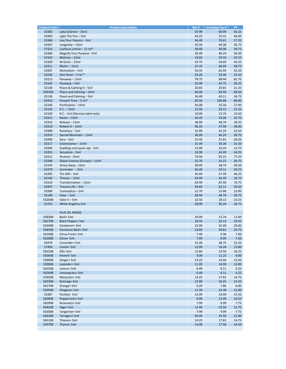| <b>Product Code</b> | <b>Product description</b>     | Net $\epsilon$ | Including Tax $\epsilon$ | PV.   |
|---------------------|--------------------------------|----------------|--------------------------|-------|
| 33305               | Lady Sclareol - 15ml           | 55.99          | 69.99                    | 56.25 |
|                     |                                |                |                          |       |
| 33383               | Light The Fire $-$ 5ml         | 44.25          | 55.31                    | 46.00 |
| 33384               | Live Your Passion - 5ml        | 56.49          | 70.61                    | 57.25 |
| 33307               | Longevity - 15ml               | 35.50          | 44.38                    | 36.75 |
| 37323               | Lushious Lemon - 15 ml*        | 38.40          | 48.00                    | 39.75 |
| 33386               | Magnify Your Purpose - 5ml     | 36.99          | 46.24                    | 36.50 |
| 32163               | Melrose - 15ml                 |                | 24.50                    |       |
|                     |                                | 19.60          |                          | 20.25 |
| 33309               | M-Grain - 15ml                 | 43.75          | 54.69                    | 45.25 |
| 33311               | Mister - 15ml                  | 37.35          | 46.69                    | 38.75 |
| 33387               | Motivation - 5ml               | 50.35          | 62.94                    | 52.50 |
| 33236               | One Heart $-5$ ml $*$          | 43.20          | 54.00                    | 22.50 |
|                     |                                |                |                          |       |
| 33313               | Panaway - 15ml                 | 78.75          | 98.44                    | 81.75 |
| 32165               | Panaway - 5ml                  | 35.00          | 43.75                    | 36.25 |
| 32138               | Peace & Calming II - 5ml       | 20.65          | 25.81                    | 21.25 |
| 339308              | Peace and Calming - 15ml       | 66.00          | 82.50                    | 68.50 |
| 32136               | Peace and Calming - 5ml        | 34.49          | 43.11                    | 34.75 |
|                     |                                |                |                          |       |
| 33410               | Present Time - 5 ml*           | 85.50          | 106.88                   | 89.00 |
| 32140               | Purification - 15ml            | 26.00          | 32.50                    | 27.00 |
| 32142               | $R.C. - 15ml$                  | 22.50          | 28.13                    | 23.25 |
| 32169               | R.C. - 5ml (German label only) | 10.99          | 13.74                    | 10.50 |
| 33315               | Raven-15ml                     | 34.45          | 43.06                    | 35.75 |
|                     |                                |                |                          |       |
| 33316               | Release - 15ml                 | 38.99          | 48.74                    | 39.25 |
| 33318               | Relieve It-15ml                | 46.35          | 57.94                    | 48.00 |
| 33389               | RutaVaLa - 5ml                 | 32.99          | 41.24                    | 32.50 |
| 33319               | Sacred Mountain - 15ml         | 36.99          | 46.24                    | 36.75 |
| 33390               | $Sara - 5ml$                   | 25.45          | 31.81                    | 26.50 |
|                     |                                |                |                          |       |
| 33317               | Sclaressence - 15ml            | 31.49          | 39.36                    | 31.50 |
| 33399               | Seadling umirujuće ulje - 5ml  | 12.99          | 16.24                    | 12.75 |
| 33391               | Sensation - 5ml                | 33.99          | 42.49                    | 34.25 |
| 33312               | Shutran - 15ml                 | 74.50          | 93.13                    | 77.25 |
|                     |                                |                |                          |       |
| 33308               | Slique Essence (Europe) - 15ml | 25.70          | 32.13                    | 26.75 |
| 32144               | Stress Away - 15ml             | 30.99          | 38.74                    | 30.50 |
| 32379               | Surrender - 5ml                | 26.49          | 33.11                    | 26.75 |
| 33395               | The $Gift - 5ml$               | 45.99          | 57.49                    | 46.25 |
| 32146               | Thieves - 15ml                 | 33.99          | 42.49                    | 34.75 |
|                     |                                |                |                          |       |
| 33310               | Transformation - 15ml          | 69.99          | 87.49                    | 70.75 |
| 33397               | Trauma Life - 5ml              | 49.69          | 62.11                    | 50.50 |
| 33398               | TummyGize-5ml                  | 12.70          | 15.88                    | 13.00 |
| 32148               | Valor - 5ml                    | 38.99          | 48.74                    | 39.75 |
| 532608              | Valor II - 5ml                 | 22.50          | 28.13                    | 23.25 |
|                     |                                |                |                          |       |
| 32155               | White Angelica 5ml             | 28.99          | 36.24                    | 28.75 |
|                     |                                |                |                          |       |
|                     | <b>PLUS OIL RANGE</b>          |                |                          |       |
| 558308              | Basil+ 5ml                     | 10.99          | 13.74                    | 11.00 |
| 561708              | <b>Black Pepper+ 5ml</b>       | 18.50          | 23.13                    | 19.25 |
|                     |                                |                |                          |       |
| 563408              | Cardamon+ 5ml                  | 25.99          | 32.49                    | 26.00 |
| 558508              | Cinnamon Bark+ 5ml             | 23.85          | 29.81                    | 24.75 |
| 561908              | Citrus Fresh+ 5ml              | 7.49           | 9.36                     | 7.50  |
| 562008              | Clove+5ml                      | 7.99           | 9.99                     | 7.50  |
| 26979               | Coriander+ 5ml                 | 31.00          | 38.75                    | 32.25 |
|                     |                                |                |                          |       |
| 27404               | Cumin+5ml                      | 12.99          | 16.24                    | 13.00 |
| 562208              | Dill+5ml                       | 15.60          | 19.50                    | 16.25 |
| 563608              | Fennel+ 5ml                    | 9.00           | 11.25                    | 9.00  |
| 558808              | Ginger+ 5ml                    | 13.25          | 16.56                    | 13.50 |
| 559008              | Lavender+ 5ml                  |                |                          |       |
|                     |                                | 11.99          | 14.99                    | 12.00 |
| 562508              | Lemon+5ml                      | 6.49           | 8.11                     | 6.25  |
| 562608              | Lemongrass+ 5ml                | 6.49           | 8.11                     | 6.25  |
| 559208              | Marjoram+ 5ml                  | 14.25          | 17.81                    | 14.75 |
| 563308              | Nutmeg+ 5ml                    | 13.00          | 16.25                    | 13.25 |
| 562708              |                                |                |                          |       |
|                     | Orange+ 5ml                    | 6.29           | 7.86                     | 6.00  |
| 559408              | Oregano+ 5ml                   | 11.50          | 14.38                    | 12.00 |
| 26387               | Parsley+ 5ml                   | 15.99          | 19.99                    | 15.50 |
| 562808              | Peppermint+ 5ml                | 9.99           | 12.49                    | 10.25 |
| 562908              | Rosemary+ 5ml                  | 7.99           | 9.99                     | 7.75  |
|                     |                                |                |                          |       |
| 564208              | Sage+ 5ml                      | 12.40          | 15.50                    | 12.75 |
| 563008              | Tangerine+ 5ml                 | 7.99           | 9.99                     | 7.75  |
| 564308              | Tarragon+ 5ml                  | 20.40          | 25.50                    | 21.00 |
| 563108              | Thieves+ 5ml                   | 14.25          | 17.81                    | 14.75 |
| 559708              | Thyme+5ml                      | 14.00          | 17.50                    | 14.50 |
|                     |                                |                |                          |       |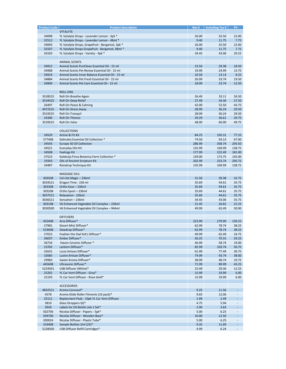| <b>Product Code</b> | <b>Product description</b>                        | Net $\epsilon$ | Including Tax $\epsilon$ | PV                          |
|---------------------|---------------------------------------------------|----------------|--------------------------|-----------------------------|
|                     | <b>VYTALYTE</b>                                   |                |                          |                             |
|                     |                                                   |                |                          |                             |
| 34098               | YL Vytalyte Drops - Lavender Lemon - 3pk *        | 26.00          | 32.50                    | 22.00                       |
| 32512               | YL Vytalyte Drops - Lavender Lemon - 48ml *       | 9.40           | 11.75                    | 7.75                        |
| 34093               | YL Vytalyte Drops, Grapefruit - Bergamot, 3pk *   | 26.00          | 32.50                    | 22.00                       |
| 32507               | YL Vytalyte Drops Grapefruit - Bergamot, 48ml *   | 9.40           | 11.75                    | 7.75                        |
| 34103               | YL Vytalyte Drops - Variety - 4pk *               | 34.45          | 43.06                    | 29.25                       |
|                     |                                                   |                |                          |                             |
|                     |                                                   |                |                          |                             |
|                     | <b>ANIMAL SCENTS</b>                              |                |                          |                             |
| 34912               | Animal Scents PuriClean Essential Oil - 15 ml     | 23.50          | 29.38                    | 18.50                       |
| 34908               | Animal Scents Pet Renew Essential Oil - 15 ml     | 19.99          | 24.99                    | 13.75                       |
| 34914               | Animal Scents Inner Balance Essential Oil - 15 ml | 10.50          | 13.13                    | 8.25                        |
| 34884               | Animal Scents Pet Fresh Essential Oil - 15 ml     | 26.99          | 33.74                    | 19.50                       |
|                     |                                                   |                |                          |                             |
| 34904               | Animal Scents Pet Care Essential Oil - 15 ml      | 18.99          | 23.74                    | 12.50                       |
|                     |                                                   |                |                          |                             |
|                     | <b>ROLL-ONS</b>                                   |                |                          |                             |
| 3528525             | Roll-On Breathe Again                             | 26.49          | 33.11                    | 26.50                       |
| 3534525             | Roll-On Deep Relief                               | 27.49          | 34.36                    | 27.50                       |
|                     |                                                   | 42.00          | 52.50                    | 43.75                       |
| 26497               | Roll-On Peace & Calming                           |                |                          |                             |
| 4472525             | Roll-On Stress Away                               | 28.99          | 36.24                    | 29.50                       |
| 3533525             | Roll-On Tranquil                                  | 28.99          | 36.24                    | 29.50                       |
| 24396               | <b>Roll-On Thieves</b>                            | 29.29          | 36.61                    | 29.75                       |
| 3529525             | Roll-On Valor                                     | 48.00          | 60.00                    | 49.75                       |
|                     |                                                   |                |                          |                             |
|                     |                                                   |                |                          |                             |
|                     | <b>COLLECTIONS</b>                                |                |                          |                             |
| 34529               | Active & Fit Kit                                  | 84.25          | 105.31                   | 77.25                       |
| 577408              | Dalmatia Essential Oil Collection *               | 74.50          | 93.13                    | 67.00                       |
| 34543               | Europe 30 Oil Collection                          | 286.99         | 358.74                   | 293.50                      |
|                     |                                                   |                |                          |                             |
| 34521               | Everyday Oils Kit                                 | 135.99         | 169.99                   | 138.75                      |
| 34508               | <b>Feelings Kit</b>                               | 177.99         | 222.49                   | 181.00                      |
| 37523               | Kolekcija Finca Botanica Farm Collection *        | 139.00         | 173.75                   | 145.00                      |
| 19343               | Oils of Ancient Scripture Kit                     | 202.99         | 253.74                   | 205.75                      |
| 34487               | Raindrop Technique Kit                            | 135.99         | 169.99                   | 138.75                      |
|                     |                                                   |                |                          |                             |
|                     |                                                   |                |                          |                             |
|                     | <b>MASSAGE OILS</b>                               |                |                          |                             |
| 303508              | Cel-Lite Magic - 236ml                            | 31.50          | 39.38                    | 32.75                       |
| 3034521             | Dragon Time - 236 ml                              | 35.69          | 44.61                    | 35.75                       |
| 303308              | Ortho Ease - 236ml                                | 35.69          | 44.61                    | 35.75                       |
|                     |                                                   |                |                          |                             |
| 303208              | Ortho Sport - 236ml                               | 35.69          | 44.61                    | 35.75                       |
| 3037521             | Relaxation - 236ml                                | 35.69          | 44.61                    | 35.75                       |
| 3036521             | Sensation - 236ml                                 | 34.45          | 43.06                    | 35.75                       |
| 303108              | V6 Enhanced Vegetable Oil Complex - 236ml         | 21.45          | 26.81                    | 22.25                       |
| 3030500             | V6 Enhanced Vegetable Oil Complex - 944ml         | 49.99          | 62.49                    | 50.00                       |
|                     |                                                   |                |                          |                             |
|                     |                                                   |                |                          |                             |
|                     | <b>DIFFUSERS</b>                                  |                |                          |                             |
| 452408              | Aria Diffuser*                                    | 223.99         | 279.99                   | 139.25                      |
| 27981               | Desert Mist Diffuser*                             | 62.99          | 78.74                    | 38.25                       |
| 533008              | Dewdrop Diffuser*                                 | 62.99          | 78.74                    | 38.25                       |
| 27015               | Feather the Owl Kid's Diffuser*                   | 49.99          | 62.49                    | 24.75                       |
|                     |                                                   |                |                          |                             |
| 36037               | Ember Diffuser*                                   | 56.25          | 70.31                    | 29.25                       |
| 36734               | Haven Ceramic Diffuser *                          | 46.99          | 58.74                    | 19.00                       |
| 23702               | Lantern Diffuser*                                 | 82.99          | 103.74                   | 50.75                       |
| 32631               | Lucia Artisan Diffuser*                           | 61.99          | 77.49                    | 30.75                       |
| 32685               | Lustre Artisan Diffuser*                          | 74.99          | 93.74                    | 38.00                       |
|                     |                                                   |                |                          |                             |
| 29983               | Sweet Aroma Diffuser*                             | 38.99          | 48.74                    | 19.75                       |
| 445608              | Ultrasonic Diffuser*                              | 71.99          | 89.99                    | 43.25                       |
| 5224501             | USB Diffuser (White)*                             | 23.49          | 29.36                    | 12.25                       |
| 25201               | YL Car Vent Diffuser - Gray*                      | 15.99          | 19.99                    | 6.00                        |
| 25193               | YL Car Vent Diffuser - Rose Gold*                 | 15.99          | 19.99                    | 6.00                        |
|                     |                                                   |                |                          |                             |
|                     |                                                   |                |                          |                             |
|                     | <b>ACCESSORIES</b>                                |                |                          |                             |
| 4832521             | Aroma Carousel*                                   | 9.25           | 11.56                    | ÷                           |
| 4578                | Aroma Glide Roller Fitments (10 pack)*            | 9.65           | 12.06                    | $\blacksquare$              |
| 25111               | Replacment Pads - 10pk YL Car Vent Diffuser       | 1.99           | 2.49                     | $\mathcal{L}_{\mathcal{A}}$ |
|                     |                                                   |                |                          |                             |
| 3810                | Glass Droppers (6)*                               | 4.75           | 5.94                     | $\overline{\phantom{a}}$    |
| 3939                | Labels for Oil Bottle Lids 1 Set*                 | 2.90           | 3.63                     | $\blacksquare$              |
| 502706              | Nicolas Diffuser - Papers - 5pk*                  | 5.00           | 6.25                     | $\blacksquare$              |
| 504706              | Nicolas Diffuser - Wooden Base*                   | 10.00          | 12.50                    | $\blacksquare$              |
| 200024              | Nicolas Diffuser - Plastic Tube*                  | 5.00           | 6.25                     | $\blacksquare$              |
|                     |                                                   |                |                          |                             |
| 319408              | Sample Bottles 2ml (25)*                          | 9.35           | 11.69                    | $\sim$                      |
| 5228500             | USB Diffuser Refill Cartridges*                   | 4.99           | 6.24                     | $\overline{\phantom{a}}$    |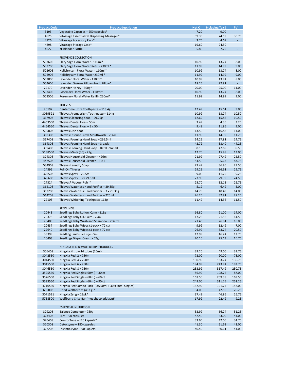| <b>Product Code</b> | <b>Product description</b>                            | Net $\epsilon$ | Including Tax $\epsilon$ | <b>PV</b>                |
|---------------------|-------------------------------------------------------|----------------|--------------------------|--------------------------|
| 3193                | Vegetable Capsules - 250 capsules*                    | 7.20           | 9.00                     | $\omega_{\rm c}$         |
| 4625                |                                                       | 59.35          | 74.19                    | 30.75                    |
|                     | Vitassage Essential Oil Dispensing Massager*          |                |                          |                          |
| 4926                | Vitassage Accessory Pack*                             | 3.75           | 4.69                     | $\mathcal{L}_{\rm{max}}$ |
| 4898                | Vitassage Storage Case*                               | 19.60          | 24.50                    | $\blacksquare$           |
| 4622                | <b>YL Blender Bottle</b>                              | 5.80           | 7.25                     | $\blacksquare$           |
|                     |                                                       |                |                          |                          |
|                     | PROVENCE COLLECTION                                   |                |                          |                          |
|                     |                                                       |                |                          |                          |
| 503606              | Clary Sage Floral Water - 110ml*                      | 10.99          | 13.74                    | 8.00                     |
| 503706              | Clary Sage Floral Water Refill - 230ml *              | 11.99          | 14.99                    | 9.00                     |
| 502606              | Helichrysum Floral Water - 110ml *                    | 10.99          | 13.74                    | 8.00                     |
| 504906              | Helichrysum Floral Water 230ml *                      | 11.99          | 14.99                    | 9.00                     |
| 502806              | Lavender Floral Water - 110ml*                        | 10.99          | 13.74                    | 8.00                     |
| 504606              | Lavender Einkorn Pillow - Neck Pillow*                | 18.25          | 22.81                    | $\omega_{\rm{eff}}$      |
|                     |                                                       |                |                          |                          |
| 22170               | Lavender Honey - 500g*                                | 20.00          | 25.00                    | 11.00                    |
| 503406              | Rosemary Floral Water - 110ml*                        | 10.99          | 13.74                    | 8.00                     |
| 503506              | Rosemary Floral Water Refill - 230ml*                 | 11.99          | 14.99                    | 9.00                     |
|                     |                                                       |                |                          |                          |
|                     | <b>THIEVES</b>                                        |                |                          |                          |
|                     |                                                       | 12.49          |                          | 9.00                     |
| 20197               | Dentarome Ultra Toothpaste - 113.4g                   |                | 15.61                    |                          |
| 3039521             | Thieves Aromabright Toothpaste - 114 g                | 10.99          | 13.74                    | 10.50                    |
| 367908              | Thieves Cleansing Soap - 99.25g                       | 12.69          | 15.86                    | 10.50                    |
| 4463560             | Thieves Dental Floss - 50m                            | 3.49           | 4.36                     | 3.25                     |
| 4464560             | Thieves Dental Floss $-3 \times 50$ m                 | 9.49           | 11.86                    | 9.00                     |
|                     |                                                       |                |                          |                          |
| 535008              | Thieves Dish Soap                                     | 13.50          | 16.88                    | 14.00                    |
| 368308              | Thieves Essence Fresh Mouthwash - 236ml               | 11.99          | 14.99                    | 11.25                    |
| 367408              | Thieves Foaming Hand Soap - 236.5ml                   | 14.25          | 17.81                    | 14.75                    |
| 364308              | Thieves Foaming Hand Soap - 3 pack                    | 42.72          | 53.40                    | 44.25                    |
| 359408              | Thieves Foaming Hand Soap - Refill - 946ml            | 38.15          | 47.69                    | 39.50                    |
| 5138550             |                                                       | 12.70          | 15.88                    | 13.00                    |
|                     | Thieves Mints (30) - 21g                              |                |                          |                          |
| 374308              | Thieves Household Cleaner - 426ml                     | 21.99          | 27.49                    | 22.50                    |
| 447508              | Thieves Household Cleaner - 1.8 l                     | 84.50          | 105.63                   | 87.75                    |
| 534908              | Thieves Laundry Soap                                  | 29.49          | 36.86                    | 29.50                    |
| 24396               | <b>Roll-On Thieves</b>                                | 29.29          | 36.61                    | 29.75                    |
| 326508              | Thieves Spray - 29.5ml                                | 9.00           | 11.25                    | 9.25                     |
|                     |                                                       |                |                          |                          |
| 326608              | Thieves Spray $-3 \times 29.5$ ml                     | 23.99          | 29.99                    | 24.50                    |
| 27324               | Thieves <sup>®</sup> Vapour Rub *                     | 25.70          | 32.13                    | 26.75                    |
| 362108              | Thieves Waterless Hand Purifier - 29.35g              | 5.19           | 6.49                     | 5.00                     |
| 362208              | Thieves Waterless Hand Purifier $-3 \times 29.35$ g   | 14.79          | 18.49                    | 14.00                    |
| 514208              | Thieves Waterless Hand Purifier - 225ml               | 26.25          | 32.81                    | 27.25                    |
|                     |                                                       |                |                          |                          |
| 27103               | Thieves Whitening Toothpaste 113g                     | 11.49          | 14.36                    | 11.50                    |
|                     |                                                       |                |                          |                          |
|                     | <b>SEEDLINGS</b>                                      |                |                          |                          |
| 20443               | Seedlings Baby Lotion, Calm - 113g                    | 16.80          | 21.00                    | 14.00                    |
| 20378               | Seedlings Baby Oil, Calm - 75ml                       | 17.25          | 21.56                    | 14.50                    |
|                     |                                                       |                |                          |                          |
| 20408               | Seedlings Baby Wash and Shampoo - 236 ml              | 21.45          | 26.81                    | 18.00                    |
| 20437               | Seedlings Baby Wipes (1-pack x 72 ct)                 | 9.99           | 12.49                    | 7.00                     |
| 27640               | Seedlings Baby Wipes (3-pack x 72 ct)                 | 26.99          | 33.74                    | 20.50                    |
| 33399               | Seadling umirujuće ulje - 5ml                         | 12.99          | 16.24                    | 12.75                    |
| 20403               | Seedlings Diaper Cream - 57g                          | 20.10          | 25.13                    | 16.75                    |
|                     |                                                       |                |                          |                          |
|                     |                                                       |                |                          |                          |
|                     | NINGXIA RED & WOLFBERRY PRODUCTS                      |                |                          |                          |
| 306408              | NingXia Nitro - 14 tubes (20ml)                       | 39.20          | 49.00                    | 39.75                    |
| 3042560             | NingXia Red, 2 x 750ml                                | 72.00          | 90.00                    | 73.00                    |
| 3044560             | NingXia Red, 4 x 750ml                                | 130.99         | 163.74                   | 130.75                   |
|                     |                                                       |                |                          |                          |
| 3045560             | NingXia Red, 6 x 750ml                                | 194.99         | 243.74                   | 192.75                   |
| 3046560             | NingXia Red, 8 x 750ml                                | 253.99         | 317.49                   | 250.75                   |
| 3525560             | NingXia Red Singles (60ml) - 30 ct                    | 86.99          | 108.74                   | 87.00                    |
| 3526560             | NingXia Red Singles (60ml) - 60 ct                    | 167.50         | 209.38                   | 169.50                   |
| 3523560             | NingXia Red Singles (60ml) - 90 ct                    | 249.00         | 311.25                   | 252.25                   |
| 4710560             | NingXia Red Combo Pack- (2x750ml + 30 x 60ml Singles) | 152.99         | 191.24                   | 152.00                   |
|                     |                                                       |                |                          |                          |
| 636008              | Dried Wolfberries (453 g)*                            | 34.00          | 42.50                    | 20.25                    |
| 3071521             | NingXia Zyng - 12pk*                                  | 37.49          | 46.86                    | 26.75                    |
| 5758500             | Wolfberry Crisp Bar (met chocoladelaag)*              | 17.99          | 22.49                    | 9.25                     |
|                     |                                                       |                |                          |                          |
|                     | <b>ESSENTIAL NUTRITION</b>                            |                |                          |                          |
|                     |                                                       |                |                          |                          |
| 329208              | Balance Complete - 750g                               | 52.99          | 66.24                    | 51.25                    |
| 323408              | BLM - 90 capsules                                     | 42.40          | 53.00                    | 44.00                    |
| 320408              | ComforTone - 120 kapsula*                             | 33.65          | 42.06                    | 34.75                    |
| 320308              | Detoxzyme - 180 capsules                              | 41.30          | 51.63                    | 43.00                    |
| 327208              | Essentialzyme - 90 Caplets                            | 40.49          | 50.61                    | 41.00                    |
|                     |                                                       |                |                          |                          |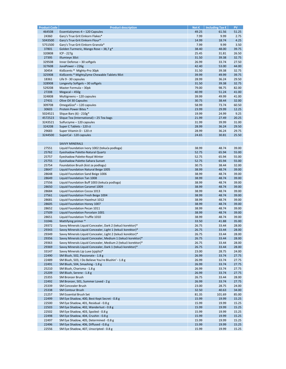| <b>Product Code</b> | <b>Product description</b>                                   | Net $\varepsilon$ | Including Tax $\epsilon$ | PV.   |
|---------------------|--------------------------------------------------------------|-------------------|--------------------------|-------|
| 464508              | Essentialzymes-4 - 120 Capsules                              | 49.25             | 61.56                    | 51.25 |
|                     |                                                              | 7.99              | 9.99                     |       |
| 24360               | Gary's True Grit Einkorn Flakes*                             |                   |                          | 2.75  |
| 5043500             | Gary's True Grit Einkorn Flour*                              | 14.99             | 18.74                    | 4.25  |
| 5751500             | Gary's True Grit Einkorn Granola*                            | 7.99              | 9.99                     | 3.50  |
| 37801               | Golden Turmeric, Mango Rose - 38,7 g*                        | 38.40             | 48.00                    | 39.75 |
| 320808              | $ICP - 227g$                                                 | 25.45             | 31.81                    | 26.50 |
| 27395               | <b>Illumieve 30ct</b>                                        | 31.50             | 39.38                    | 32.75 |
| 329508              | Inner Defense - 30 softgels                                  | 26.99             | 33.74                    | 27.50 |
|                     |                                                              |                   |                          |       |
| 327608              | JuvaPower-226g                                               | 42.40             | 53.00                    | 44.00 |
| 30454               | KidScents ® Mighty-Pro 30pk                                  | 31.50             | 39.38                    | 32.75 |
| 325908              | KidScents ® MightyZyme Chewable Tablets 90ct                 | 39.99             | 49.99                    | 39.75 |
| 18361               | Life 9 - 30 capsules                                         | 28.99             | 36.24                    | 29.50 |
| 328908              | Longevity Softgels - 30 softgels                             | 31.50             | 39.38                    | 32.75 |
| 529208              | Master Formula - 30pk                                        | 79.00             | 98.75                    | 82.00 |
|                     |                                                              |                   |                          |       |
| 27208               | Megacal - 450g                                               | 40.99             | 51.24                    | 41.00 |
| 324808              | Multigreens - 120 capsules                                   | 39.99             | 49.99                    | 41.00 |
| 27431               | Olive Oil 30 Capsules                                        | 30.75             | 38.44                    | 32.00 |
| 309708              | OmegaGize $3 - 120$ capsules                                 | 58.99             | 73.74                    | 60.50 |
| 30603               | Protein Power Bites *                                        | 23.99             | 29.99                    | 12.25 |
| 5024521             | Slique Bars $(6) - 210g*$                                    | 19.99             | 24.99                    | 9.25  |
|                     |                                                              |                   | 27.49                    |       |
| 4572523             | Slique Tea (International) - 25 Tea bags                     | 21.99             |                          | 20.25 |
| 3243521             | Sulfurzyme - 120 capsules                                    | 31.99             | 39.99                    | 31.00 |
| 324208              | Super C Tablets - 120 ct                                     | 28.99             | 36.24                    | 29.50 |
| 29683               | Super Vitamin D - 120 ct                                     | 28.99             | 36.24                    | 29.75 |
| 3244500             | SuperCal - 120 capsules                                      | 24.65             | 30.81                    | 25.50 |
|                     |                                                              |                   |                          |       |
|                     |                                                              |                   |                          |       |
|                     | <b>SAVVY MINERALS</b>                                        |                   |                          |       |
| 27551               | Liquid Foundation Ivory 1002 (tekuća podloga)                | 38.99             | 48.74                    | 39.00 |
| 25762               | Eyeshadow Palette-Natural Quartz                             | 52.75             | 65.94                    | 55.00 |
| 25757               | Eyeshadow Palette-Royal Winter                               | 52.75             | 65.94                    | 55.00 |
| 25755               | Eyeshadow Palette-Sahara Sunset                              | 52.75             | 65.94                    | 55.00 |
| 25754               | Foundation Brush (kist za podlogu)                           | 30.75             | 38.44                    | 32.00 |
|                     |                                                              |                   |                          |       |
| 28647               | Liquid Foundation Natural Beige 1005                         | 38.99             | 48.74                    | 39.00 |
| 28648               | Liquid Foundation Sand Beige 1006                            | 38.99             | 48.74                    | 39.00 |
| 28649               | Liquid Foundation Tan 1008                                   | 38.99             | 48.74                    | 39.00 |
| 27556               | Liquid Foundation Buff 1003 (tekuća podloga)                 | 38.99             | 48.74                    | 39.00 |
| 28650               | Liquid Foundation Caramel 1009                               | 38.99             | 48.74                    | 39.00 |
| 28684               | Liquid Foundation Cocoa 1013                                 | 38.99             | 48.74                    | 39.00 |
|                     |                                                              |                   |                          |       |
| 27561               | Liquid Foundation Fresh Beige 1004                           | 38.99             | 48.74                    | 39.00 |
| 28681               | Liquid Foundation Hazelnut 1012                              | 38.99             | 48.74                    | 39.00 |
| 28605               | Liquid Foundation Honey 1007                                 | 38.99             | 48.74                    | 39.00 |
| 28652               | Liquid Foundation Pecan 1011                                 | 38.99             | 48.74                    | 39.00 |
| 27509               | Liquid Foundation Porcelain 1001                             | 38.99             | 48.74                    | 39.00 |
| 28651               | Liquid Foundation Truffle 1010                               | 38.99             | 48.74                    | 39.00 |
|                     |                                                              |                   |                          |       |
| 31046               | Mattifying primer *                                          | 33.50             | 41.88                    | 35.00 |
| 29372               | Savvy Minerals Liquid Concealer, Dark 2 (tekući korektor)*   | 26.75             | 33.44                    | 28.00 |
| 29343               | Savvy Minerals Liquid Concealer, Light 1 (tekući korektor)*  | 26.75             | 33.44                    | 28.00 |
| 29349               | Savvy Minerals Liquid Concealer, Light 2 (tekući korektor)*  | 26.75             | 33.44                    | 28.00 |
| 29356               | Savvy Minerals Liquid Concealer, Medium 1 (tekući korektor)* | 26.75             | 33.44                    | 28.00 |
| 29363               | Savvy Minerals Liquid Concealer, Medium 2 (tekući korektor)* | 26.75             | 33.44                    | 28.00 |
|                     |                                                              |                   |                          |       |
| 29369               | Savvy Minerals Liquid Concealer, Dark 1 (tekući korektor)*   | 26.75             | 33.44                    | 28.00 |
| 33147               | Savvy Minerals Lip Luxe (sjajilo)*                           | 23.00             | 28.75                    | 24.00 |
| 22490               | SM Blush, 502, Passionate - 1.8 g                            | 26.99             | 33.74                    | 27.75 |
| 22489               | SM Blush, 503, I Do Believe You're Blushin' - 1.8 g          | 26.99             | 33.74                    | 27.75 |
| 22491               | SM Blush, 504, Smashing - 1.8 g                              | 26.99             | 33.74                    | 27.75 |
| 25210               | SM Blush, Charisma - 1.8 g                                   | 26.99             | 33.74                    | 27.75 |
|                     |                                                              |                   |                          |       |
| 25209               | SM Blush, Serene - 1.8 g                                     | 26.99             | 33.74                    | 27.75 |
| 25355               | <b>SM Bronzer Brush</b>                                      | 26.75             | 33.44                    | 28.00 |
| 22492               | SM Bronzer, 501, Summer Loved - 2 g                          | 26.99             | 33.74                    | 27.75 |
| 25339               | <b>SM Concealer Brush</b>                                    | 23.00             | 28.75                    | 24.00 |
| 25338               | <b>SM Contour Brush</b>                                      | 32.50             | 40.63                    | 34.00 |
| 21257               | SM Essential Brush Set                                       | 81.35             | 101.69                   | 85.00 |
|                     |                                                              |                   |                          |       |
| 22499               | SM Eye Shadow, 400, Best Kept Secret - 0.8 g                 | 15.99             | 19.99                    | 15.25 |
| 22500               | SM Eye Shadow, 401, Residual - 0.8 g                         | 15.99             | 19.99                    | 15.25 |
| 22503               | SM Eye Shadow, 402, Wanderlust - 0.8 g                       | 15.99             | 19.99                    | 15.25 |
| 22502               | SM Eye Shadow, 403, Spoiled - 0.8 g                          | 15.99             | 19.99                    | 15.25 |
| 22498               | SM Eye Shadow, 404, Crushin - 0.8 g                          | 15.99             | 19.99                    | 15.25 |
| 22497               | SM Eye Shadow, 405, Determined - 0.8 g                       | 15.99             | 19.99                    | 15.25 |
|                     |                                                              |                   |                          |       |
| 22496               | SM Eye Shadow, 406, Diffused - 0.8 g                         | 15.99             | 19.99                    | 15.25 |
| 22556               | SM Eye Shadow, 407, Unscripted - 0.8 g                       | 15.99             | 19.99                    | 15.25 |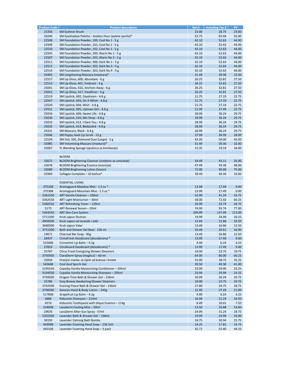| <b>Product Code</b> | <b>Product description</b>                           | Net $\varepsilon$ | Including Tax $\epsilon$ | PV -   |
|---------------------|------------------------------------------------------|-------------------|--------------------------|--------|
| 25356               | <b>SM Eyeliner Brush</b>                             | 23.00             | 28.75                    | 24.00  |
| 34240               |                                                      | 52.75             | 65.94                    | 55.00  |
|                     | SM Eyeshadow Palette - Golden Hour (paleta sjenila)* |                   |                          |        |
| 22508               | SM Foundation Powder, 100, Cool No 1 - 5 g           | 42.10             | 52.63                    | 44.00  |
| 22509               | SM Foundation Powder, 101, Cool No 2 - 5 g           | 42.10             | 52.63                    | 44.00  |
| 22510               | SM Foundation Powder, 102, Cool No 3 - 5 g           | 42.10             | 52.63                    | 44.00  |
| 22505               | SM Foundation Powder, 200, Warm No 1 - 5 g           | 42.10             | 52.63                    | 44.00  |
| 22507               | SM Foundation Powder, 202, Warm No 3 - 5 g           | 42.10             | 52.63                    | 44.00  |
|                     |                                                      |                   |                          |        |
| 22511               | SM Foundation Powder, 300, Dark No 1 - 5 g           | 42.10             | 52.63                    | 44.00  |
| 22513               | SM Foundation Powder, 302, Dark No 3 - 5 g           | 42.10             | 52.63                    | 44.00  |
| 22514               | SM Foundation Powder, 303, Dark No 4 - 5 g           | 42.10             | 52.63                    | 44.00  |
| 33495               | SM Lengthening Mascara (maskara)*                    | 31.49             | 39.36                    | 32.00  |
| 22517               | SM Lip Gloss, 600, Abundant - 6 g                    | 26.25             | 32.81                    | 27.50  |
|                     |                                                      |                   |                          |        |
| 22515               | SM Lip Gloss, 601, Embrace - 6 g                     | 26.25             | 32.81                    | 27.50  |
| 25041               | SM Lip Gloss, 616, Anchors Away - 6 g                | 26.25             | 32.81                    | 27.50  |
| 25042               | SM Lip Gloss, 617, Headliner - 6 g                   | 26.25             | 32.81                    | 27.50  |
| 22519               | SM Lipstick, 602, Daydream - 4.8 g                   | 21.75             | 27.19                    | 22.75  |
| 22567               | SM Lipstick, 603, On A Whim - 4.8 g                  | 21.75             | 27.19                    | 22.75  |
|                     |                                                      |                   |                          |        |
| 22520               | SM Lipstick, 604, Wish - 4.8 g                       | 21.75             | 27.19                    | 22.75  |
| 22521               | SM Lipstick, 605, Uptown Girl - 4.8 g                | 21.99             | 27.49                    | 22.75  |
| 25034               | SM Lipstick, 609, Sweet Life - 4.8 g                 | 28.99             | 36.24                    | 29.75  |
| 25030               | SM Lipstick, 610, Mic Drop - 4.8 g                   | 28.99             | 36.24                    | 29.75  |
| 25033               | SM Lipstick, 612, I Dare You - 4.8 g                 | 28.99             | 36.24                    | 29.75  |
|                     |                                                      |                   |                          |        |
| 25035               | SM Lipstick, 614, Bedazzled - 4.8 g                  | 28.99             | 36.24                    | 29.75  |
| 24331               | SM Mascara, Black - 4.8 g                            | 28.99             | 36.24                    | 29.75  |
| 25046               | SM Poppy Seed Lip Scrub - 12 g                       | 27.99             | 34.99                    | 28.00  |
| 22524               | SM Veil, 505, Diamond Dust (Large) - 5 g             | 43.20             | 54.00                    | 45.00  |
| 33485               | SM Volumising Mascara (maskara)*                     | 31.49             | 39.36                    | 32.00  |
|                     |                                                      |                   |                          |        |
| 25067               | YL Blending Sponge (spužvica za šminkanje)           | 15.35             | 19.19                    | 16.00  |
|                     |                                                      |                   |                          |        |
|                     | <b>BLOOM</b>                                         |                   |                          |        |
| 32672               | BLOOM Brightening Cleanser (sredstvo za umivanje)    | 34.49             | 43.11                    | 35.00  |
| 32678               | <b>BLOOM Brightening Essence (esencija)</b>          | 47.49             | 59.36                    | 48.00  |
|                     |                                                      |                   |                          |        |
| 32680               | <b>BLOOM Brightening Lotion (losion)</b>             | 72.00             | 90.00                    | 75.00  |
| 32969               | Collagen Complete - 10 bočica*                       | 39.49             | 49.36                    | 32.00  |
|                     |                                                      |                   |                          |        |
|                     | <b>ESSENTIAL LIVING</b>                              |                   |                          |        |
| 375208              | Aromaguard Meadow Mist - 1.5 oz *                    | 13.99             | 17.49                    | 9.00   |
|                     |                                                      |                   |                          |        |
| 375308              | Aromaguard Mountain Mist - 1.5 oz *                  | 13.99             | 17.49                    | 9.00   |
| 5361550             | ART Gentle Cleanser - 100ml                          | 32.99             | 41.24                    | 33.75  |
| 5362550             | ART Light Moisturiser - 30ml                         | 58.00             | 72.50                    | 60.25  |
| 5360550             | ART Refreshing Toner - 120ml                         | 26.99             | 33.74                    | 24.75  |
| 5175                | ART Renewal Serum - 20ml                             | 74.99             | 93.74                    | 77.00  |
| 5363550             |                                                      |                   |                          |        |
|                     | <b>ART Skin Care System</b>                          | 109.99            | 137.49                   | 113.00 |
| 5711500             | Kruti sapun Shutran                                  | 19.99             | 24.99                    | 20.25  |
| 4904500             | Kruti sapun od lavande i zobi                        | 12.69             | 15.86                    | 10.50  |
| 3680500             | Kruti sapun Valor                                    | 13.49             | 16.86                    | 12.50  |
| 3751500             | Bath and Shower Gel Base - 236 ml                    | 16.49             | 20.61                    | 16.00  |
| 24671               |                                                      | 13.49             |                          | 12.50  |
|                     | Charcoal Bar Soap - 85g                              |                   | 16.86                    |        |
| 28437               | CinnaFresh Deodorant (dezodorans) *                  | 13.99             | 17.49                    | 9.00   |
| 515008              | Cinnamint Lip Balm - 4.2g                            | 4.99              | 6.24                     | 4.25   |
| 27816               | CitraGuard Deodorant (dezodorans) *                  | 13.99             | 17.49                    | 9.00   |
| 25787               | Citrus Fresh Energizing Shower Steamers              | 19.00             | 23.75                    | 19.75  |
|                     | ClaraDerm Spray (maglica) - 60 ml                    |                   |                          |        |
| 3750500             |                                                      | 64.00             | 80.00                    | 66.25  |
| 32834               | Hranjivi maslac za tijelo od kokosa i limete         | 31.00             | 38.75                    | 32.25  |
| 543608              | Cool Azul Sports Gel                                 | 39.50             | 49.38                    | 41.00  |
| 5195550             | Copaiba Vanilla Moisturising Conditioner - 295ml     | 23.99             | 29.99                    | 23.25  |
| 5194550             | Copaiba Vanilla Moisturising Shampoo - 295ml         | 23.99             | 29.99                    | 23.25  |
|                     | Dragon Time Bath & Shower Gel-236ml                  | 20.99             |                          |        |
| 3739500             |                                                      |                   | 26.24                    | 20.75  |
| 25786               | Easy Breeze Awakening Shower Steamers                | 19.00             | 23.75                    | 19.75  |
| 3742500             | Evening Peace Bath & Shower Gel - 236ml              | 27.80             | 34.75                    | 28.75  |
| 3706500             | Genesis Hand & Body Lotion - 245g                    | 21.99             | 27.49                    | 21.00  |
| 517808              | Grapefruit Lip Balm - 4.2g                           | 4.99              | 6.24                     | 4.25   |
| 3686                | Kidscents Shampoo - 214ml                            |                   |                          |        |
|                     |                                                      | 16.99             | 21.24                    | 16.50  |
| 4574                | Kidscents Toothpaste with Slique Essence - 114g      | 8.49              | 10.61                    | 7.50   |
| 324908              | Lavaderm Cooling Mist - 59ml                         | 13.50             | 16.88                    | 14.00  |
| 29676               | LavaDerm After-Sun Spray - 57ml                      | 24.99             | 31.24                    | 24.75  |
| 5202500             | Lavender Bath & Shower Gel-236ml                     | 19.99             | 24.99                    | 19.00  |
| 30195               | Lavender Calming Bath Bombs                          | 24.75             | 30.94                    | 25.75  |
|                     |                                                      |                   |                          |        |
| 443008              | Lavender Foaming Hand Soap - 236.5ml                 | 14.25             | 17.81                    | 14.75  |
| 443108              | Lavender Foaming Hand Soap - 3 pack                  | 42.72             | 53.40                    | 44.25  |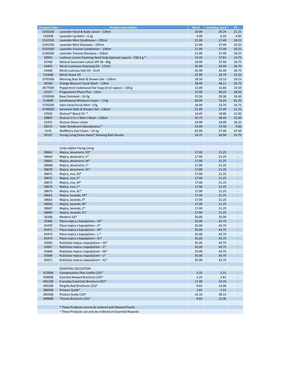| <b>Product Code</b> | <b>Product description</b>                                    | Net $E$ | Including Tax $\epsilon$ | PV.                         |
|---------------------|---------------------------------------------------------------|---------|--------------------------|-----------------------------|
| 5201500             | Lavender Hand & Body Lotion - 226ml                           | 20.99   | 26.24                    | 21.25                       |
| 520308              | Lavender Lip Balm $-4.2g$                                     | 4.99    | 6.24                     | 4.00                        |
| 5192550             | Lavender Mint Conditioner - 295ml                             | 21.99   | 27.49                    | 20.25                       |
|                     |                                                               |         |                          |                             |
| 5191550             | Lavender Mint Shampoo - 295ml                                 | 21.99   | 27.49                    | 20.25                       |
| 5102500             | Lavender Volume Conditioner - 236ml                           | 21.99   | 27.49                    | 20.25                       |
| 5100500             | Lavender Volume Shampoo - 236ml                               | 21.99   | 27.49                    | 20.25                       |
| 30943               | Lushious Lemon Foaming Hand Soap (pjenasti sapun) - 236,5 g * | 14.25   | 17.81                    | 14.75                       |
| 24760               | Mineral Sunscreen Lotion SPF 50 - 80g                         | 29.99   | 37.49                    | 29.75                       |
| 24465               | Mirah Luminous Cleansing Oil - 113ml                          | 35.99   | 44.99                    | 36.75                       |
| 24468               | Mirah Lustrous Hair Oil - 51ml                                | 25.99   | 32.49                    | 26.75                       |
|                     |                                                               |         |                          |                             |
| 515608              | Mirah Shave Oil                                               | 22.99   | 28.74                    | 23.25                       |
| 3745500             | Morning Start Bath & Shower Gel-236ml                         | 18.50   | 23.13                    | 19.25                       |
| 20180               | Orange Blossom Facial Wash - 118ml                            | 38.49   | 48.11                    | 39.75                       |
| 3677500             | Peppermint Cedarwood Bar Soap (kruti sapun) - 100 g           | 12.69   | 15.86                    | 10.50                       |
| 32157               | Progessence Phyto Plus - 15ml                                 | 37.00   | 46.25                    | 38.50                       |
| 3709500             | Rose Ointment - 24.5g                                         | 23.50   | 29.38                    | 24.50                       |
| 514808              | Sandalwood Moisture Cream - 113g                              | 60.99   | 76.24                    | 61.25                       |
| 3735500             | Satin Facial Scrub Mint - 57g                                 | 18.99   | 23.74                    | 16.75                       |
|                     |                                                               |         |                          |                             |
| 3748500             | Sensation Bath & Shower Gel-236ml                             | 21.99   | 27.49                    | 21.25                       |
| 37025               | Shutran <sup>®</sup> Beard Oil *                              | 14.45   | 18.06                    | 15.00                       |
| 28805               | Shutran 3-in-1 Men's Wash - 236ml                             | 30.75   | 38.44                    | 32.00                       |
| 25475               | Shutran Shave cream                                           | 19.99   | 24.99                    | 20.25                       |
| 28273               | Valor Deodorant (dezodorans) *                                | 13.99   | 17.49                    | 9.00                        |
| 5145                | Wolfberry Eye Cream - 14.1g                                   | 45.99   | 57.49                    | 47.50                       |
| 30197               | Young Living Stress Away® Relaxing Bath Bombs                 | 24.75   | 30.94                    | 25.75                       |
|                     |                                                               |         |                          |                             |
|                     |                                                               |         |                          |                             |
|                     |                                                               |         |                          |                             |
|                     | Linija odjeće Young Living                                    |         |                          |                             |
| 38662               | Majica, akvamarin, XS*                                        | 17.00   | 21.25                    | $\mathcal{L}_{\mathcal{A}}$ |
| 38664               | Majica, akvamarin, S*                                         | 17.00   | 21.25                    | $\overline{\phantom{a}}$    |
| 38665               | Majica, akvamarin, M*                                         | 17.00   | 21.25                    | $\omega$                    |
| 38668               | Majica, akvamarin, L*                                         | 17.00   | 21.25                    | $\overline{\phantom{a}}$    |
|                     |                                                               |         |                          |                             |
| 38670               | Majica, akvamarin, XL*                                        | 17.00   | 21.25                    | $\blacksquare$              |
| 38671               | Majica, siva, XS*                                             | 17.00   | 21.25                    | $\sim$                      |
| 38672               | Majica, siva, S*                                              | 17.00   | 21.25                    | $\sim$                      |
| 38673               | Majica, siva, M*                                              | 17.00   | 21.25                    | $\overline{\phantom{a}}$    |
| 38674               | Majica, siva, L*                                              | 17.00   | 21.25                    | $\mathcal{L}_{\mathcal{A}}$ |
| 38675               | Majica, siva, XL*                                             | 17.00   | 21.25                    | $\overline{\phantom{a}}$    |
| 38661               | Majica, lavanda, XS*                                          | 17.00   | 21.25                    | $\Delta \phi$               |
|                     |                                                               |         |                          |                             |
| 38663               | Majica, lavanda, S*                                           | 17.00   | 21.25                    | $\overline{\phantom{a}}$    |
| 38666               | Majica, lavanda, M*                                           | 17.00   | 21.25                    | $\mathcal{L}_{\mathcal{A}}$ |
| 38667               | Majica, lavanda, L*                                           | 17.00   | 21.25                    | $\overline{\phantom{a}}$    |
| 38669               | Majica, lavanda, XL*                                          | 17.00   | 21.25                    | $\sim$                      |
| 36268               | Moderni šal*                                                  | 20.00   | 25.00                    | $\overline{\phantom{a}}$    |
| 35466               | Plava majica s kapuljačom - XS*                               | 35.00   | 43.75                    | $\blacksquare$              |
| 35470               | Plava majica s kapuljačom - S*                                | 35.00   | 43.75                    | $\blacksquare$              |
| 35471               |                                                               |         | 43.75                    | $\Box$                      |
|                     | Plava majica s kapuljačom - M*                                | 35.00   |                          |                             |
| 35473               | Plava majica s kapuljačom - L *                               | 35.00   | 43.75                    | $\overline{\phantom{a}}$    |
| 35474               | Plava majica s kapuljačom - XL*                               | 35.00   | 43.75                    | $\overline{\phantom{a}}$    |
| 35665               | Ružičasta majica s kapuljačom - XS*                           | 35.00   | 43.75                    | $\overline{\phantom{a}}$    |
| 35667               | Ružičasta majica s kapuljačom - S*                            | 35.00   | 43.75                    | $\overline{\phantom{a}}$    |
| 35668               | Ružičasta majica s kapuljačom - M*                            | 35.00   | 43.75                    | $\sim$                      |
| 35669               | Ružičasta majica s kapuljačom - L*                            | 35.00   | 43.75                    | $\sim$                      |
| 35671               | Ružičasta majica s kapuljačom - XL*                           | 35.00   | 43.75                    | $\overline{\phantom{a}}$    |
|                     |                                                               |         |                          |                             |
|                     |                                                               |         |                          |                             |
|                     | <b>ESSENTIAL EDUCATION</b>                                    |         |                          |                             |
| 472008              | Compensation Plan Leaflet (25)*                               | 4.25    | 5.31                     | ÷                           |
| 430008              | Essential Reward Brochure (25)*                               | 2.25    | 2.81                     | $\sim$                      |
| 492108              | Everyday Essentials Brochure (25)*                            | 11.40   | 14.25                    | $\sim$                      |
| 495208              | NingXia Red Brochures (25)*                                   | 9.65    | 12.06                    | $\sim$                      |
| 384908              | Product Guide*                                                | 2.65    | 3.31                     | $\sim$                      |
|                     |                                                               |         |                          |                             |
| 385008              | Product Guide (10)*                                           | 24.10   | 30.13                    | $\overline{\phantom{a}}$    |
| 349008              | Thieves Brochure (25)*                                        | 9.65    | 12.06                    | $\sim$                      |
|                     |                                                               |         |                          |                             |
|                     | * These Products cannot be ordered with Reward Points         |         |                          |                             |
|                     | ~ These Products can only be ordered on Essential Rewards     |         |                          |                             |
|                     |                                                               |         |                          |                             |